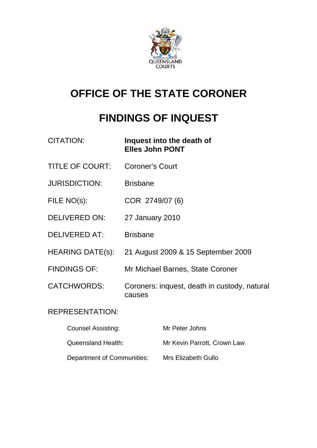

# **OFFICE OF THE STATE CORONER**

# **FINDINGS OF INQUEST**

| <b>CITATION:</b>          | Inquest into the death of<br><b>Elles John PONT</b>    |
|---------------------------|--------------------------------------------------------|
| <b>TITLE OF COURT:</b>    | <b>Coroner's Court</b>                                 |
| <b>JURISDICTION:</b>      | <b>Brisbane</b>                                        |
| FILE NO(s):               | COR 2749/07 (6)                                        |
| <b>DELIVERED ON:</b>      | 27 January 2010                                        |
| <b>DELIVERED AT:</b>      | <b>Brisbane</b>                                        |
| HEARING DATE(s):          | 21 August 2009 & 15 September 2009                     |
| <b>FINDINGS OF:</b>       | Mr Michael Barnes, State Coroner                       |
| <b>CATCHWORDS:</b>        | Coroners: inquest, death in custody, natural<br>causes |
| <b>REPRESENTATION:</b>    |                                                        |
| <b>Counsel Assisting:</b> | Mr Peter Johns                                         |

| Queensland Health:         | Mr Kevin Parrott, Crown Law |
|----------------------------|-----------------------------|
| Department of Communities: | Mrs Elizabeth Gullo         |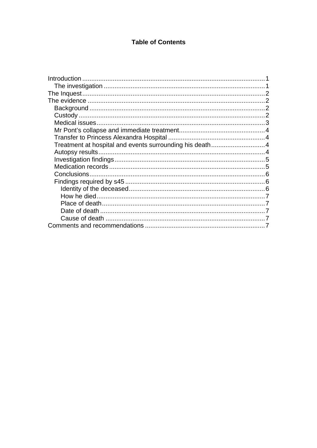## **Table of Contents**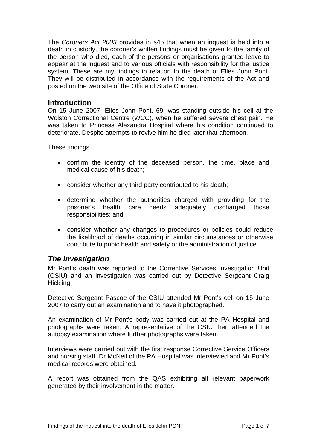<span id="page-2-0"></span>The *Coroners Act 2003* provides in s45 that when an inquest is held into a death in custody, the coroner's written findings must be given to the family of the person who died, each of the persons or organisations granted leave to appear at the inquest and to various officials with responsibility for the justice system. These are my findings in relation to the death of Elles John Pont. They will be distributed in accordance with the requirements of the Act and posted on the web site of the Office of State Coroner.

### **Introduction**

On 15 June 2007, Elles John Pont, 69, was standing outside his cell at the Wolston Correctional Centre (WCC), when he suffered severe chest pain. He was taken to Princess Alexandra Hospital where his condition continued to deteriorate. Despite attempts to revive him he died later that afternoon.

These findings

- confirm the identity of the deceased person, the time, place and medical cause of his death;
- consider whether any third party contributed to his death;
- determine whether the authorities charged with providing for the prisoner's health care needs adequately discharged those responsibilities; and
- consider whether any changes to procedures or policies could reduce the likelihood of deaths occurring in similar circumstances or otherwise contribute to pubic health and safety or the administration of justice.

## *The investigation*

Mr Pont's death was reported to the Corrective Services Investigation Unit (CSIU) and an investigation was carried out by Detective Sergeant Craig Hickling.

Detective Sergeant Pascoe of the CSIU attended Mr Pont's cell on 15 June 2007 to carry out an examination and to have it photographed.

An examination of Mr Pont's body was carried out at the PA Hospital and photographs were taken. A representative of the CSIU then attended the autopsy examination where further photographs were taken.

Interviews were carried out with the first response Corrective Service Officers and nursing staff. Dr McNeil of the PA Hospital was interviewed and Mr Pont's medical records were obtained.

A report was obtained from the QAS exhibiting all relevant paperwork generated by their involvement in the matter.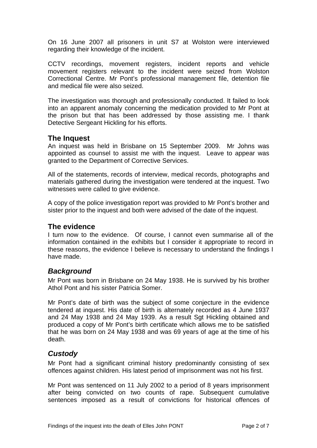<span id="page-3-0"></span>On 16 June 2007 all prisoners in unit S7 at Wolston were interviewed regarding their knowledge of the incident.

CCTV recordings, movement registers, incident reports and vehicle movement registers relevant to the incident were seized from Wolston Correctional Centre. Mr Pont's professional management file, detention file and medical file were also seized.

The investigation was thorough and professionally conducted. It failed to look into an apparent anomaly concerning the medication provided to Mr Pont at the prison but that has been addressed by those assisting me. I thank Detective Sergeant Hickling for his efforts.

## **The Inquest**

An inquest was held in Brisbane on 15 September 2009. Mr Johns was appointed as counsel to assist me with the inquest. Leave to appear was granted to the Department of Corrective Services.

All of the statements, records of interview, medical records, photographs and materials gathered during the investigation were tendered at the inquest. Two witnesses were called to give evidence.

A copy of the police investigation report was provided to Mr Pont's brother and sister prior to the inquest and both were advised of the date of the inquest.

### **The evidence**

I turn now to the evidence. Of course, I cannot even summarise all of the information contained in the exhibits but I consider it appropriate to record in these reasons, the evidence I believe is necessary to understand the findings I have made.

### *Background*

Mr Pont was born in Brisbane on 24 May 1938. He is survived by his brother Athol Pont and his sister Patricia Somer.

Mr Pont's date of birth was the subject of some conjecture in the evidence tendered at inquest. His date of birth is alternately recorded as 4 June 1937 and 24 May 1938 and 24 May 1939. As a result Sgt Hickling obtained and produced a copy of Mr Pont's birth certificate which allows me to be satisfied that he was born on 24 May 1938 and was 69 years of age at the time of his death.

## *Custody*

Mr Pont had a significant criminal history predominantly consisting of sex offences against children. His latest period of imprisonment was not his first.

Mr Pont was sentenced on 11 July 2002 to a period of 8 years imprisonment after being convicted on two counts of rape. Subsequent cumulative sentences imposed as a result of convictions for historical offences of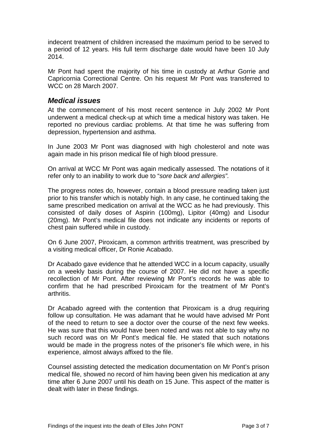<span id="page-4-0"></span>indecent treatment of children increased the maximum period to be served to a period of 12 years. His full term discharge date would have been 10 July 2014.

Mr Pont had spent the majority of his time in custody at Arthur Gorrie and Capricornia Correctional Centre. On his request Mr Pont was transferred to WCC on 28 March 2007.

## *Medical issues*

At the commencement of his most recent sentence in July 2002 Mr Pont underwent a medical check-up at which time a medical history was taken. He reported no previous cardiac problems. At that time he was suffering from depression, hypertension and asthma.

In June 2003 Mr Pont was diagnosed with high cholesterol and note was again made in his prison medical file of high blood pressure.

On arrival at WCC Mr Pont was again medically assessed. The notations of it refer only to an inability to work due to "*sore back and allergies".*

The progress notes do, however, contain a blood pressure reading taken just prior to his transfer which is notably high. In any case, he continued taking the same prescribed medication on arrival at the WCC as he had previously. This consisted of daily doses of Aspirin (100mg), Lipitor (40mg) and Lisodur (20mg). Mr Pont's medical file does not indicate any incidents or reports of chest pain suffered while in custody.

On 6 June 2007, Piroxicam, a common arthritis treatment, was prescribed by a visiting medical officer, Dr Ronie Acabado.

Dr Acabado gave evidence that he attended WCC in a locum capacity, usually on a weekly basis during the course of 2007. He did not have a specific recollection of Mr Pont. After reviewing Mr Pont's records he was able to confirm that he had prescribed Piroxicam for the treatment of Mr Pont's arthritis.

Dr Acabado agreed with the contention that Piroxicam is a drug requiring follow up consultation. He was adamant that he would have advised Mr Pont of the need to return to see a doctor over the course of the next few weeks. He was sure that this would have been noted and was not able to say why no such record was on Mr Pont's medical file. He stated that such notations would be made in the progress notes of the prisoner's file which were, in his experience, almost always affixed to the file.

Counsel assisting detected the medication documentation on Mr Pont's prison medical file, showed no record of him having been given his medication at any time after 6 June 2007 until his death on 15 June. This aspect of the matter is dealt with later in these findings.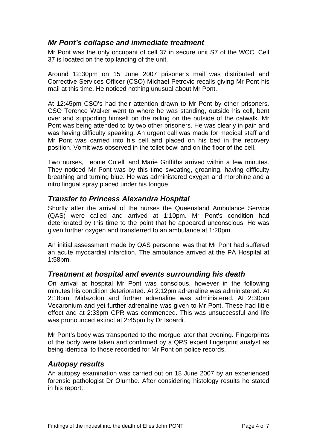## <span id="page-5-0"></span>*Mr Pont's collapse and immediate treatment*

Mr Pont was the only occupant of cell 37 in secure unit S7 of the WCC. Cell 37 is located on the top landing of the unit.

Around 12:30pm on 15 June 2007 prisoner's mail was distributed and Corrective Services Officer (CSO) Michael Petrovic recalls giving Mr Pont his mail at this time. He noticed nothing unusual about Mr Pont.

At 12:45pm CSO's had their attention drawn to Mr Pont by other prisoners. CSO Terence Walker went to where he was standing, outside his cell, bent over and supporting himself on the railing on the outside of the catwalk. Mr Pont was being attended to by two other prisoners. He was clearly in pain and was having difficulty speaking. An urgent call was made for medical staff and Mr Pont was carried into his cell and placed on his bed in the recovery position. Vomit was observed in the toilet bowl and on the floor of the cell.

Two nurses, Leonie Cutelli and Marie Griffiths arrived within a few minutes. They noticed Mr Pont was by this time sweating, groaning, having difficulty breathing and turning blue. He was administered oxygen and morphine and a nitro lingual spray placed under his tongue.

## *Transfer to Princess Alexandra Hospital*

Shortly after the arrival of the nurses the Queensland Ambulance Service (QAS) were called and arrived at 1:10pm. Mr Pont's condition had deteriorated by this time to the point that he appeared unconscious. He was given further oxygen and transferred to an ambulance at 1:20pm.

An initial assessment made by QAS personnel was that Mr Pont had suffered an acute myocardial infarction. The ambulance arrived at the PA Hospital at 1:58pm.

## *Treatment at hospital and events surrounding his death*

On arrival at hospital Mr Pont was conscious, however in the following minutes his condition deteriorated. At 2:12pm adrenaline was administered. At 2:18pm, Midazolon and further adrenaline was administered. At 2:30pm Vecaronium and yet further adrenaline was given to Mr Pont. These had little effect and at 2:33pm CPR was commenced. This was unsuccessful and life was pronounced extinct at 2:45pm by Dr Isoardi.

Mr Pont's body was transported to the morgue later that evening. Fingerprints of the body were taken and confirmed by a QPS expert fingerprint analyst as being identical to those recorded for Mr Pont on police records.

### *Autopsy results*

An autopsy examination was carried out on 18 June 2007 by an experienced forensic pathologist Dr Olumbe. After considering histology results he stated in his report: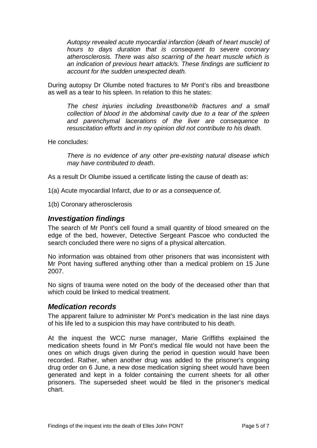<span id="page-6-0"></span>*Autopsy revealed acute myocardial infarction (death of heart muscle) of hours to days duration that is consequent to severe coronary atherosclerosis. There was also scarring of the heart muscle which is an indication of previous heart attack/s. These findings are sufficient to account for the sudden unexpected death.* 

During autopsy Dr Olumbe noted fractures to Mr Pont's ribs and breastbone as well as a tear to his spleen. In relation to this he states:

*The chest injuries including breastbone/rib fractures and a small collection of blood in the abdominal cavity due to a tear of the spleen and parenchymal lacerations of the liver are consequence to resuscitation efforts and in my opinion did not contribute to his death.* 

He concludes:

*There is no evidence of any other pre-existing natural disease which may have contributed to death*.

As a result Dr Olumbe issued a certificate listing the cause of death as:

1(a) Acute myocardial Infarct, *due to or as a consequence of,*

1(b) Coronary atherosclerosis

### *Investigation findings*

The search of Mr Pont's cell found a small quantity of blood smeared on the edge of the bed, however, Detective Sergeant Pascoe who conducted the search concluded there were no signs of a physical altercation.

No information was obtained from other prisoners that was inconsistent with Mr Pont having suffered anything other than a medical problem on 15 June 2007.

No signs of trauma were noted on the body of the deceased other than that which could be linked to medical treatment.

#### *Medication records*

The apparent failure to administer Mr Pont's medication in the last nine days of his life led to a suspicion this may have contributed to his death.

At the inquest the WCC nurse manager, Marie Griffiths explained the medication sheets found in Mr Pont's medical file would not have been the ones on which drugs given during the period in question would have been recorded. Rather, when another drug was added to the prisoner's ongoing drug order on 6 June, a new dose medication signing sheet would have been generated and kept in a folder containing the current sheets for all other prisoners. The superseded sheet would be filed in the prisoner's medical chart.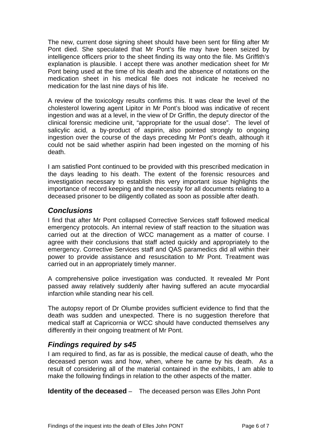<span id="page-7-0"></span>The new, current dose signing sheet should have been sent for filing after Mr Pont died. She speculated that Mr Pont's file may have been seized by intelligence officers prior to the sheet finding its way onto the file. Ms Griffith's explanation is plausible. I accept there was another medication sheet for Mr Pont being used at the time of his death and the absence of notations on the medication sheet in his medical file does not indicate he received no medication for the last nine days of his life.

A review of the toxicology results confirms this. It was clear the level of the cholesterol lowering agent Lipitor in Mr Pont's blood was indicative of recent ingestion and was at a level, in the view of Dr Griffin, the deputy director of the clinical forensic medicine unit, "appropriate for the usual dose". The level of salicylic acid, a by-product of aspirin, also pointed strongly to ongoing ingestion over the course of the days preceding Mr Pont's death, although it could not be said whether aspirin had been ingested on the morning of his death.

I am satisfied Pont continued to be provided with this prescribed medication in the days leading to his death. The extent of the forensic resources and investigation necessary to establish this very important issue highlights the importance of record keeping and the necessity for all documents relating to a deceased prisoner to be diligently collated as soon as possible after death.

## *Conclusions*

I find that after Mr Pont collapsed Corrective Services staff followed medical emergency protocols. An internal review of staff reaction to the situation was carried out at the direction of WCC management as a matter of course. I agree with their conclusions that staff acted quickly and appropriately to the emergency. Corrective Services staff and QAS paramedics did all within their power to provide assistance and resuscitation to Mr Pont. Treatment was carried out in an appropriately timely manner.

A comprehensive police investigation was conducted. It revealed Mr Pont passed away relatively suddenly after having suffered an acute myocardial infarction while standing near his cell.

The autopsy report of Dr Olumbe provides sufficient evidence to find that the death was sudden and unexpected. There is no suggestion therefore that medical staff at Capricornia or WCC should have conducted themselves any differently in their ongoing treatment of Mr Pont.

# *Findings required by s45*

I am required to find, as far as is possible, the medical cause of death, who the deceased person was and how, when, where he came by his death. As a result of considering all of the material contained in the exhibits, I am able to make the following findings in relation to the other aspects of the matter.

**Identity of the deceased** – The deceased person was Elles John Pont